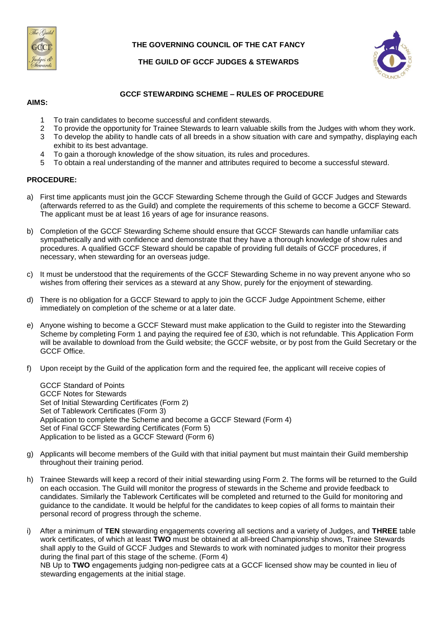

### **THE GOVERNING COUNCIL OF THE CAT FANCY**



## **THE GUILD OF GCCF JUDGES & STEWARDS**

### **GCCF STEWARDING SCHEME – RULES OF PROCEDURE**

#### **AIMS:**

- 1 To train candidates to become successful and confident stewards.
- 2 To provide the opportunity for Trainee Stewards to learn valuable skills from the Judges with whom they work.
- 3 To develop the ability to handle cats of all breeds in a show situation with care and sympathy, displaying each exhibit to its best advantage.
- 4 To gain a thorough knowledge of the show situation, its rules and procedures.
- 5 To obtain a real understanding of the manner and attributes required to become a successful steward.

#### **PROCEDURE:**

- a) First time applicants must join the GCCF Stewarding Scheme through the Guild of GCCF Judges and Stewards (afterwards referred to as the Guild) and complete the requirements of this scheme to become a GCCF Steward. The applicant must be at least 16 years of age for insurance reasons.
- b) Completion of the GCCF Stewarding Scheme should ensure that GCCF Stewards can handle unfamiliar cats sympathetically and with confidence and demonstrate that they have a thorough knowledge of show rules and procedures. A qualified GCCF Steward should be capable of providing full details of GCCF procedures, if necessary, when stewarding for an overseas judge.
- c) It must be understood that the requirements of the GCCF Stewarding Scheme in no way prevent anyone who so wishes from offering their services as a steward at any Show, purely for the enjoyment of stewarding.
- d) There is no obligation for a GCCF Steward to apply to join the GCCF Judge Appointment Scheme, either immediately on completion of the scheme or at a later date.
- e) Anyone wishing to become a GCCF Steward must make application to the Guild to register into the Stewarding Scheme by completing Form 1 and paying the required fee of £30, which is not refundable. This Application Form will be available to download from the Guild website; the GCCF website, or by post from the Guild Secretary or the GCCF Office.
- f) Upon receipt by the Guild of the application form and the required fee, the applicant will receive copies of

GCCF Standard of Points GCCF Notes for Stewards Set of Initial Stewarding Certificates (Form 2) Set of Tablework Certificates (Form 3) Application to complete the Scheme and become a GCCF Steward (Form 4) Set of Final GCCF Stewarding Certificates (Form 5) Application to be listed as a GCCF Steward (Form 6)

- g) Applicants will become members of the Guild with that initial payment but must maintain their Guild membership throughout their training period.
- h) Trainee Stewards will keep a record of their initial stewarding using Form 2. The forms will be returned to the Guild on each occasion. The Guild will monitor the progress of stewards in the Scheme and provide feedback to candidates. Similarly the Tablework Certificates will be completed and returned to the Guild for monitoring and guidance to the candidate. It would be helpful for the candidates to keep copies of all forms to maintain their personal record of progress through the scheme.
- i) After a minimum of **TEN** stewarding engagements covering all sections and a variety of Judges, and **THREE** table work certificates, of which at least **TWO** must be obtained at all-breed Championship shows, Trainee Stewards shall apply to the Guild of GCCF Judges and Stewards to work with nominated judges to monitor their progress during the final part of this stage of the scheme. (Form 4)

NB Up to **TWO** engagements judging non-pedigree cats at a GCCF licensed show may be counted in lieu of stewarding engagements at the initial stage.